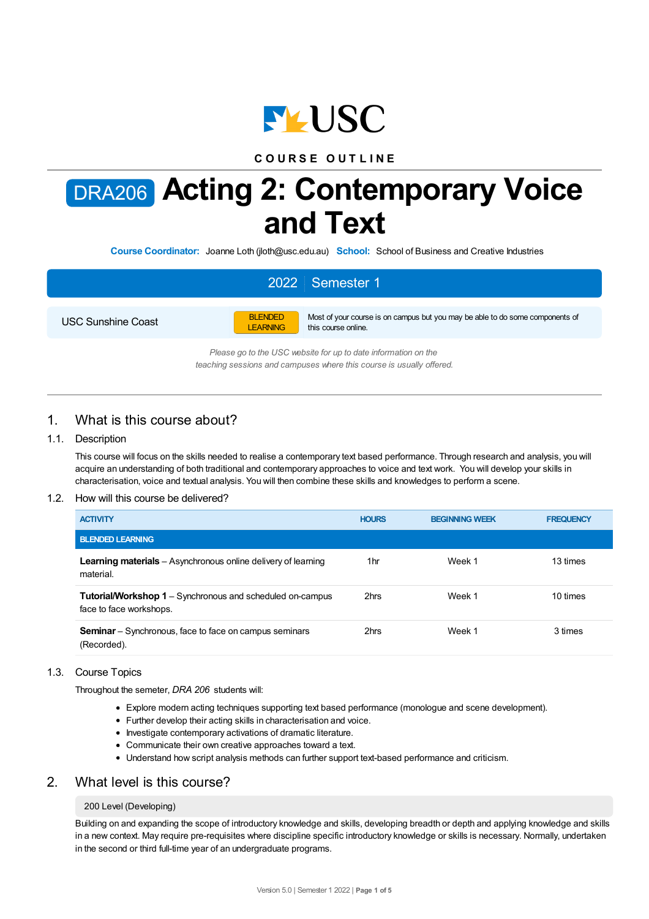

## **C O U R S E O U T L I N E**

# DRA206 **Acting 2: Contemporary Voice and Text**

**Course Coordinator:** Joanne Loth (jloth@usc.edu.au) **School:** School of Business and Creative Industries

# 2022 Semester 1

USC Sunshine Coast



Most of your course is on campus but you may be able to do some components of this course online.

*Please go to the USC website for up to date information on the teaching sessions and campuses where this course is usually offered.*

## 1. What is this course about?

## 1.1. Description

This course will focus on the skills needed to realise a contemporary text based performance. Through research and analysis, you will acquire an understanding of both traditional and contemporary approaches to voice and text work. You will develop your skills in characterisation, voice and textual analysis. You will then combine these skills and knowledges to perform a scene.

#### 1.2. How will this course be delivered?

| <b>ACTIVITY</b>                                                                             | <b>HOURS</b> | <b>BEGINNING WEEK</b> | <b>FREQUENCY</b> |
|---------------------------------------------------------------------------------------------|--------------|-----------------------|------------------|
| <b>BLENDED LEARNING</b>                                                                     |              |                       |                  |
| <b>Learning materials</b> – Asynchronous online delivery of learning<br>material.           | 1hr          | Week 1                | 13 times         |
| <b>Tutorial/Workshop 1</b> – Synchronous and scheduled on-campus<br>face to face workshops. | 2hrs         | Week 1                | 10 times         |
| <b>Seminar</b> – Synchronous, face to face on campus seminars<br>(Recorded).                | 2hrs         | Week 1                | 3 times          |

#### 1.3. Course Topics

Throughout the semeter, *DRA 206* students will:

- Explore modern acting techniques supporting text based performance (monologue and scene development).
- Further develop their acting skills in characterisation and voice.
- Investigate contemporary activations of dramatic literature.
- Communicate their own creative approaches toward a text.
- Understand how script analysis methods can further support text-based performance and criticism.

## 2. What level is this course?

#### 200 Level (Developing)

Building on and expanding the scope of introductory knowledge and skills, developing breadth or depth and applying knowledge and skills in a new context. May require pre-requisites where discipline specific introductory knowledge or skills is necessary. Normally, undertaken in the second or third full-time year of an undergraduate programs.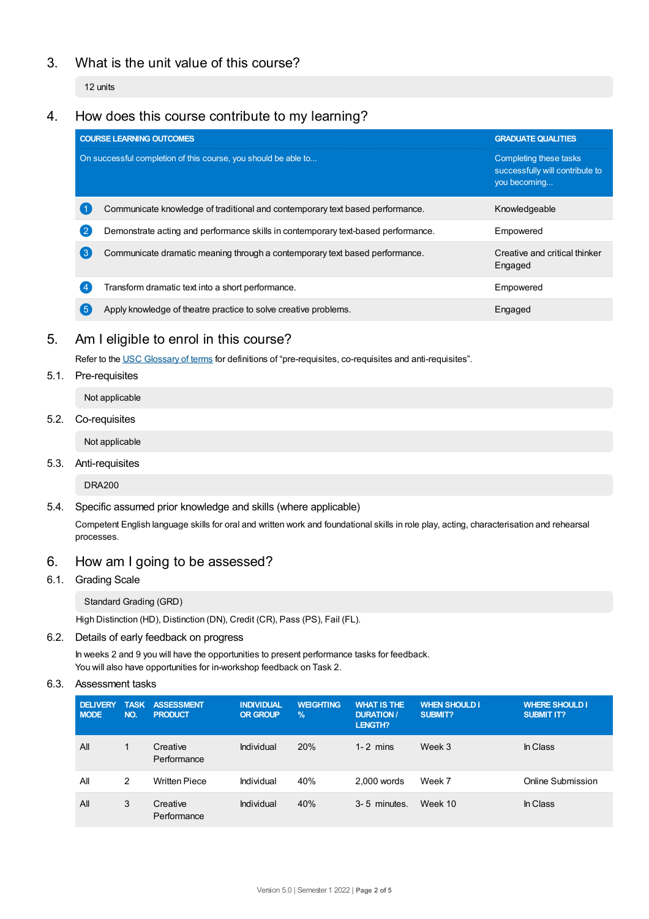# 3. What is the unit value of this course?

12 units

# 4. How does this course contribute to my learning?

|                                                                | <b>COURSE LEARNING OUTCOMES</b>                                                   | <b>GRADUATE QUALITIES</b>                                                 |
|----------------------------------------------------------------|-----------------------------------------------------------------------------------|---------------------------------------------------------------------------|
| On successful completion of this course, you should be able to |                                                                                   | Completing these tasks<br>successfully will contribute to<br>you becoming |
|                                                                | Communicate knowledge of traditional and contemporary text based performance.     | Knowledgeable                                                             |
|                                                                | Demonstrate acting and performance skills in contemporary text-based performance. | Empowered                                                                 |
| 3                                                              | Communicate dramatic meaning through a contemporary text based performance.       | Creative and critical thinker<br>Engaged                                  |
|                                                                | Transform dramatic text into a short performance.                                 | Empowered                                                                 |
|                                                                | Apply knowledge of theatre practice to solve creative problems.                   | Engaged                                                                   |

## 5. Am Ieligible to enrol in this course?

Refer to the USC [Glossary](https://www.usc.edu.au/about/policies-and-procedures/glossary-of-terms-for-policy-and-procedures) of terms for definitions of "pre-requisites, co-requisites and anti-requisites".

5.1. Pre-requisites

Not applicable

5.2. Co-requisites

Not applicable

5.3. Anti-requisites

DRA200

5.4. Specific assumed prior knowledge and skills (where applicable)

Competent English language skills for oral and written work and foundational skills in role play, acting, characterisation and rehearsal processes.

# 6. How am Igoing to be assessed?

6.1. Grading Scale

Standard Grading (GRD)

High Distinction (HD), Distinction (DN), Credit (CR), Pass (PS), Fail (FL).

6.2. Details of early feedback on progress

In weeks 2 and 9 you will have the opportunities to present performance tasks for feedback. You will also have opportunities for in-workshop feedback on Task 2.

6.3. Assessment tasks

| <b>DELIVERY</b><br><b>NODE</b> | <b>TASK</b><br>NO. | <b>ASSESSMENT</b><br><b>PRODUCT</b> | <b>INDIVIDUAL</b><br><b>OR GROUP</b> | <b>WEIGHTING</b><br>$\frac{9}{6}$ | <b>WHAT IS THE</b><br><b>DURATION /</b><br>LENGTH? | <b>WHEN SHOULD I</b><br><b>SUBMIT?</b> | <b>WHERE SHOULD I.</b><br><b>SUBMIT IT?</b> |
|--------------------------------|--------------------|-------------------------------------|--------------------------------------|-----------------------------------|----------------------------------------------------|----------------------------------------|---------------------------------------------|
| All                            | 1                  | Creative<br>Performance             | Individual                           | 20%                               | $1 - 2$ mins                                       | Week 3                                 | In Class                                    |
| All                            | 2                  | <b>Written Piece</b>                | Individual                           | 40%                               | $2.000$ words                                      | Week 7                                 | Online Submission                           |
| All                            | 3                  | Creative<br>Performance             | Individual                           | 40%                               | 3-5 minutes.                                       | Week 10                                | In Class                                    |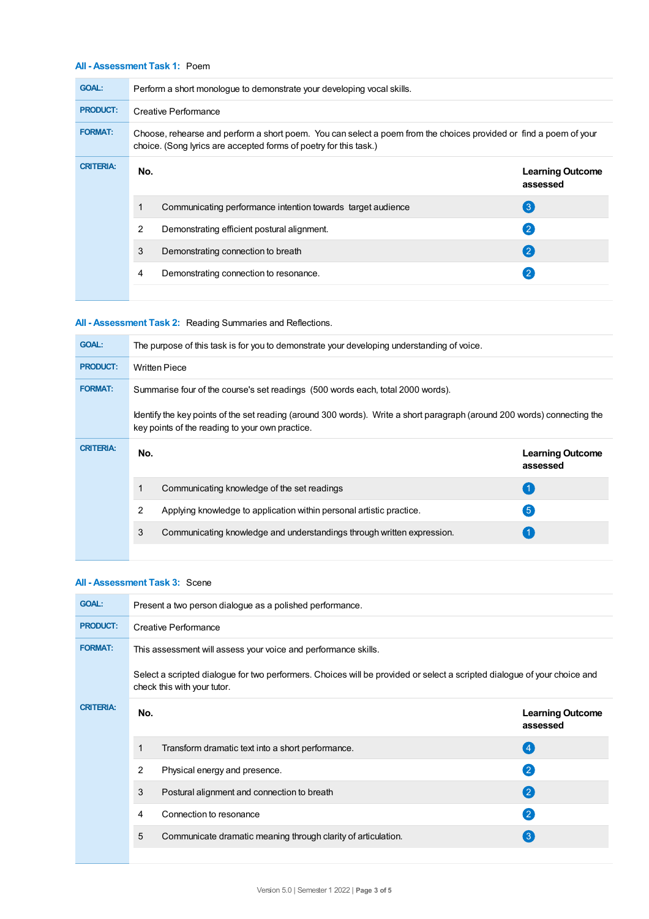## **All - Assessment Task 1:** Poem

| <b>GOAL:</b>     | Perform a short monologue to demonstrate your developing vocal skills.                                                                                                                 |                                                             |                                     |  |  |
|------------------|----------------------------------------------------------------------------------------------------------------------------------------------------------------------------------------|-------------------------------------------------------------|-------------------------------------|--|--|
| <b>PRODUCT:</b>  | Creative Performance                                                                                                                                                                   |                                                             |                                     |  |  |
| <b>FORMAT:</b>   | Choose, rehearse and perform a short poem. You can select a poem from the choices provided or find a poem of your<br>choice. (Song lyrics are accepted forms of poetry for this task.) |                                                             |                                     |  |  |
| <b>CRITERIA:</b> | No.                                                                                                                                                                                    |                                                             | <b>Learning Outcome</b><br>assessed |  |  |
|                  | 1                                                                                                                                                                                      | Communicating performance intention towards target audience | $\left(3\right)$                    |  |  |
|                  | 2                                                                                                                                                                                      | Demonstrating efficient postural alignment.                 | $\left( 2 \right)$                  |  |  |
|                  | 3                                                                                                                                                                                      | Demonstrating connection to breath                          | $\left( 2 \right)$                  |  |  |
|                  | 4                                                                                                                                                                                      | Demonstrating connection to resonance.                      |                                     |  |  |
|                  |                                                                                                                                                                                        |                                                             |                                     |  |  |

## **All - Assessment Task 2:** Reading Summaries and Reflections.

| <b>GOAL:</b>     | The purpose of this task is for you to demonstrate your developing understanding of voice.                                                                                  |                                     |  |  |  |
|------------------|-----------------------------------------------------------------------------------------------------------------------------------------------------------------------------|-------------------------------------|--|--|--|
| <b>PRODUCT:</b>  | <b>Written Piece</b>                                                                                                                                                        |                                     |  |  |  |
| <b>FORMAT:</b>   | Summarise four of the course's set readings (500 words each, total 2000 words).                                                                                             |                                     |  |  |  |
|                  | Identify the key points of the set reading (around 300 words). Write a short paragraph (around 200 words) connecting the<br>key points of the reading to your own practice. |                                     |  |  |  |
| <b>CRITERIA:</b> | No.                                                                                                                                                                         | <b>Learning Outcome</b><br>assessed |  |  |  |
|                  | Communicating knowledge of the set readings                                                                                                                                 | $\left( 1 \right)$                  |  |  |  |
|                  | 2<br>Applying knowledge to application within personal artistic practice.                                                                                                   | $\sqrt{5}$                          |  |  |  |
|                  | 3<br>Communicating knowledge and understandings through written expression.                                                                                                 |                                     |  |  |  |
|                  |                                                                                                                                                                             |                                     |  |  |  |

## **All - Assessment Task 3:** Scene

| <b>GOAL:</b>     | Present a two person dialogue as a polished performance.                                                                                                |                                                               |                                     |  |  |  |
|------------------|---------------------------------------------------------------------------------------------------------------------------------------------------------|---------------------------------------------------------------|-------------------------------------|--|--|--|
| <b>PRODUCT:</b>  | Creative Performance                                                                                                                                    |                                                               |                                     |  |  |  |
| <b>FORMAT:</b>   | This assessment will assess your voice and performance skills.                                                                                          |                                                               |                                     |  |  |  |
|                  | Select a scripted dialogue for two performers. Choices will be provided or select a scripted dialogue of your choice and<br>check this with your tutor. |                                                               |                                     |  |  |  |
| <b>CRITERIA:</b> | No.                                                                                                                                                     |                                                               | <b>Learning Outcome</b><br>assessed |  |  |  |
|                  | 1                                                                                                                                                       | Transform dramatic text into a short performance.             | (4)                                 |  |  |  |
|                  | 2                                                                                                                                                       | Physical energy and presence.                                 | $\mathbf{C}$                        |  |  |  |
|                  | 3                                                                                                                                                       | Postural alignment and connection to breath                   | $\boldsymbol{2}$                    |  |  |  |
|                  | 4                                                                                                                                                       | Connection to resonance                                       | $\left( 2\right)$                   |  |  |  |
|                  | 5                                                                                                                                                       | Communicate dramatic meaning through clarity of articulation. | $\left( 3 \right)$                  |  |  |  |
|                  |                                                                                                                                                         |                                                               |                                     |  |  |  |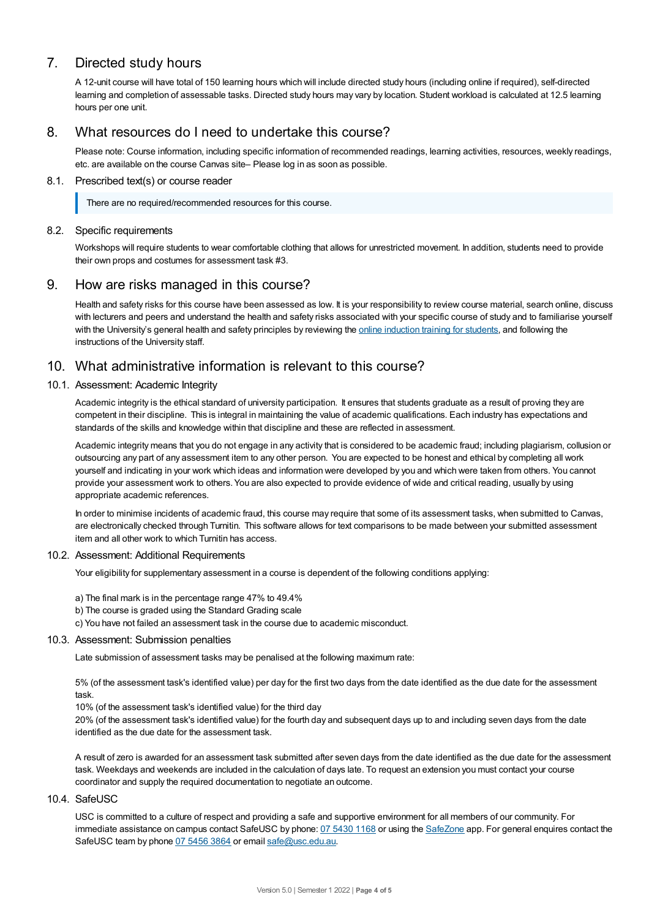# 7. Directed study hours

A 12-unit course will have total of 150 learning hours which will include directed study hours (including online if required), self-directed learning and completion of assessable tasks. Directed study hours may vary by location. Student workload is calculated at 12.5 learning hours per one unit.

## 8. What resources do I need to undertake this course?

Please note: Course information, including specific information of recommended readings, learning activities, resources, weekly readings, etc. are available on the course Canvas site– Please log in as soon as possible.

## 8.1. Prescribed text(s) or course reader

There are no required/recommended resources for this course.

## 8.2. Specific requirements

Workshops will require students to wear comfortable clothing that allows for unrestricted movement. In addition, students need to provide their own props and costumes for assessment task #3.

## 9. How are risks managed in this course?

Health and safety risks for this course have been assessed as low. It is your responsibility to review course material, search online, discuss with lecturers and peers and understand the health and safety risks associated with your specific course of study and to familiarise yourself with the University's general health and safety principles by reviewing the online [induction](https://online.usc.edu.au/webapps/blackboard/content/listContentEditable.jsp?content_id=_632657_1&course_id=_14432_1) training for students, and following the instructions of the University staff.

## 10. What administrative information is relevant to this course?

## 10.1. Assessment: Academic Integrity

Academic integrity is the ethical standard of university participation. It ensures that students graduate as a result of proving they are competent in their discipline. This is integral in maintaining the value of academic qualifications. Each industry has expectations and standards of the skills and knowledge within that discipline and these are reflected in assessment.

Academic integrity means that you do not engage in any activity that is considered to be academic fraud; including plagiarism, collusion or outsourcing any part of any assessment item to any other person. You are expected to be honest and ethical by completing all work yourself and indicating in your work which ideas and information were developed by you and which were taken from others. You cannot provide your assessment work to others.You are also expected to provide evidence of wide and critical reading, usually by using appropriate academic references.

In order to minimise incidents of academic fraud, this course may require that some of its assessment tasks, when submitted to Canvas, are electronically checked through Turnitin. This software allows for text comparisons to be made between your submitted assessment item and all other work to which Turnitin has access.

#### 10.2. Assessment: Additional Requirements

Your eligibility for supplementary assessment in a course is dependent of the following conditions applying:

- a) The final mark is in the percentage range 47% to 49.4%
- b) The course is graded using the Standard Grading scale
- c) You have not failed an assessment task in the course due to academic misconduct.

#### 10.3. Assessment: Submission penalties

Late submission of assessment tasks may be penalised at the following maximum rate:

5% (of the assessment task's identified value) per day for the first two days from the date identified as the due date for the assessment task.

10% (of the assessment task's identified value) for the third day

20% (of the assessment task's identified value) for the fourth day and subsequent days up to and including seven days from the date identified as the due date for the assessment task.

A result of zero is awarded for an assessment task submitted after seven days from the date identified as the due date for the assessment task. Weekdays and weekends are included in the calculation of days late. To request an extension you must contact your course coordinator and supply the required documentation to negotiate an outcome.

#### 10.4. SafeUSC

USC is committed to a culture of respect and providing a safe and supportive environment for all members of our community. For immediate assistance on campus contact SafeUSC by phone: 07 [5430](tel:07%205430%201168) 1168 or using the [SafeZone](https://www.safezoneapp.com) app. For general enquires contact the SafeUSC team by phone 07 [5456](tel:07%205456%203864) 3864 or email [safe@usc.edu.au](mailto:safe@usc.edu.au).